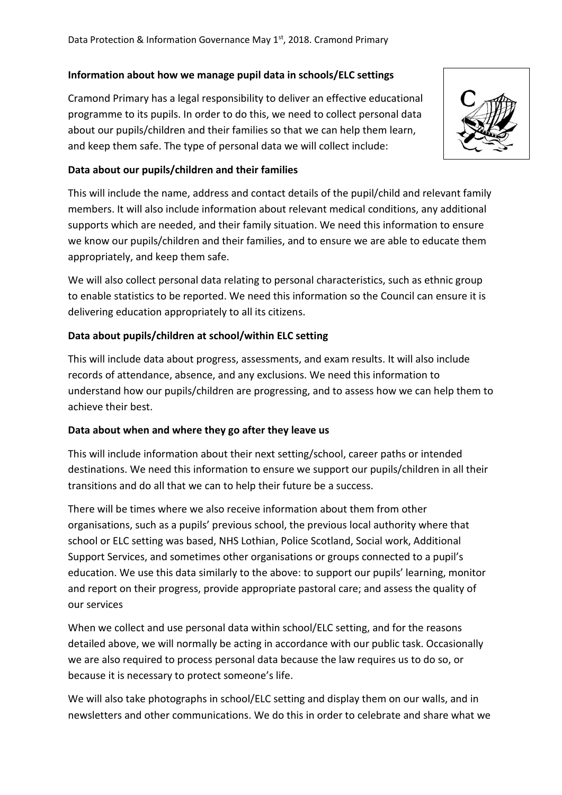# **Information about how we manage pupil data in schools/ELC settings**

Cramond Primary has a legal responsibility to deliver an effective educational programme to its pupils. In order to do this, we need to collect personal data about our pupils/children and their families so that we can help them learn, and keep them safe. The type of personal data we will collect include:



## **Data about our pupils/children and their families**

This will include the name, address and contact details of the pupil/child and relevant family members. It will also include information about relevant medical conditions, any additional supports which are needed, and their family situation. We need this information to ensure we know our pupils/children and their families, and to ensure we are able to educate them appropriately, and keep them safe.

We will also collect personal data relating to personal characteristics, such as ethnic group to enable statistics to be reported. We need this information so the Council can ensure it is delivering education appropriately to all its citizens.

## **Data about pupils/children at school/within ELC setting**

This will include data about progress, assessments, and exam results. It will also include records of attendance, absence, and any exclusions. We need this information to understand how our pupils/children are progressing, and to assess how we can help them to achieve their best.

## **Data about when and where they go after they leave us**

This will include information about their next setting/school, career paths or intended destinations. We need this information to ensure we support our pupils/children in all their transitions and do all that we can to help their future be a success.

There will be times where we also receive information about them from other organisations, such as a pupils' previous school, the previous local authority where that school or ELC setting was based, NHS Lothian, Police Scotland, Social work, Additional Support Services, and sometimes other organisations or groups connected to a pupil's education. We use this data similarly to the above: to support our pupils' learning, monitor and report on their progress, provide appropriate pastoral care; and assess the quality of our services

When we collect and use personal data within school/ELC setting, and for the reasons detailed above, we will normally be acting in accordance with our public task. Occasionally we are also required to process personal data because the law requires us to do so, or because it is necessary to protect someone's life.

We will also take photographs in school/ELC setting and display them on our walls, and in newsletters and other communications. We do this in order to celebrate and share what we